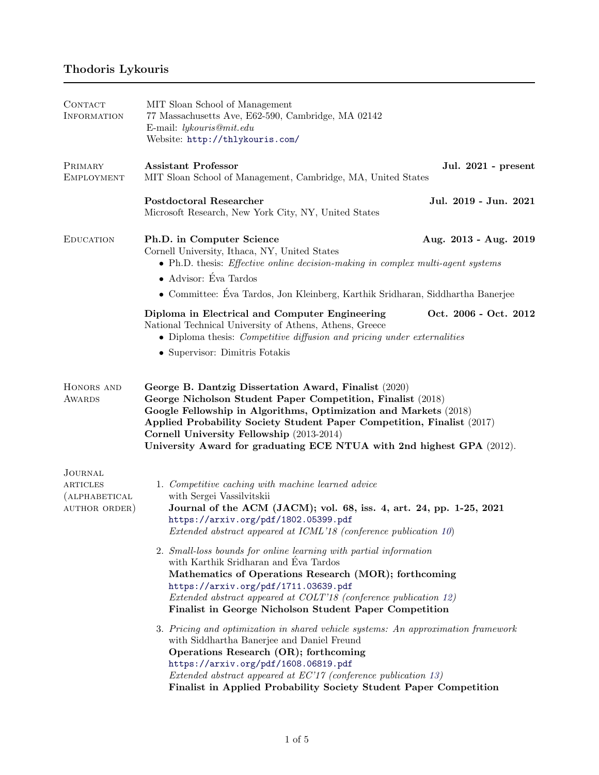# Thodoris Lykouris

<span id="page-0-2"></span><span id="page-0-1"></span><span id="page-0-0"></span>

| CONTACT<br><b>INFORMATION</b>                                | MIT Sloan School of Management<br>77 Massachusetts Ave, E62-590, Cambridge, MA 02142<br>E-mail: lykouris@mit.edu<br>Website: http://thlykouris.com/                                                                                                                                                                                                                                      |                       |
|--------------------------------------------------------------|------------------------------------------------------------------------------------------------------------------------------------------------------------------------------------------------------------------------------------------------------------------------------------------------------------------------------------------------------------------------------------------|-----------------------|
| PRIMARY<br>EMPLOYMENT                                        | <b>Assistant Professor</b><br>MIT Sloan School of Management, Cambridge, MA, United States                                                                                                                                                                                                                                                                                               | Jul. 2021 - present   |
|                                                              | <b>Postdoctoral Researcher</b><br>Microsoft Research, New York City, NY, United States                                                                                                                                                                                                                                                                                                   | Jul. 2019 - Jun. 2021 |
| <b>EDUCATION</b>                                             | Ph.D. in Computer Science<br>Cornell University, Ithaca, NY, United States<br>• Ph.D. thesis: <i>Effective online decision-making in complex multi-agent systems</i><br>• Advisor: Éva Tardos<br>$\bullet\,$ Committee: Éva Tardos, Jon Kleinberg, Karthik Sridharan, Siddhartha Banerjee                                                                                                | Aug. 2013 - Aug. 2019 |
|                                                              | Diploma in Electrical and Computer Engineering<br>National Technical University of Athens, Athens, Greece<br>• Diploma thesis: <i>Competitive diffusion and pricing under externalities</i><br>• Supervisor: Dimitris Fotakis                                                                                                                                                            | Oct. 2006 - Oct. 2012 |
| HONORS AND<br>AWARDS                                         | George B. Dantzig Dissertation Award, Finalist (2020)<br>George Nicholson Student Paper Competition, Finalist (2018)<br>Google Fellowship in Algorithms, Optimization and Markets (2018)<br>Applied Probability Society Student Paper Competition, Finalist (2017)<br>Cornell University Fellowship (2013-2014)<br>University Award for graduating ECE NTUA with 2nd highest GPA (2012). |                       |
| JOURNAL<br><b>ARTICLES</b><br>(ALPHABETICAL<br>AUTHOR ORDER) | 1. Competitive caching with machine learned advice<br>with Sergei Vassilvitskii<br>Journal of the ACM (JACM); vol. 68, iss. 4, art. 24, pp. 1-25, 2021<br>https://arxiv.org/pdf/1802.05399.pdf<br>Extended abstract appeared at ICML'18 (conference publication 10)                                                                                                                      |                       |
|                                                              | 2. Small-loss bounds for online learning with partial information<br>with Karthik Sridharan and Eva Tardos<br>Mathematics of Operations Research (MOR); forthcoming<br>https://arxiv.org/pdf/1711.03639.pdf<br>Extended abstract appeared at COLT'18 (conference publication 12)<br>Finalist in George Nicholson Student Paper Competition                                               |                       |
|                                                              | 3. Pricing and optimization in shared vehicle systems: An approximation framework<br>with Siddhartha Banerjee and Daniel Freund<br>Operations Research (OR); forthcoming<br>https://arxiv.org/pdf/1608.06819.pdf<br>Extended abstract appeared at EC'17 (conference publication 13)<br>Finalist in Applied Probability Society Student Paper Competition                                 |                       |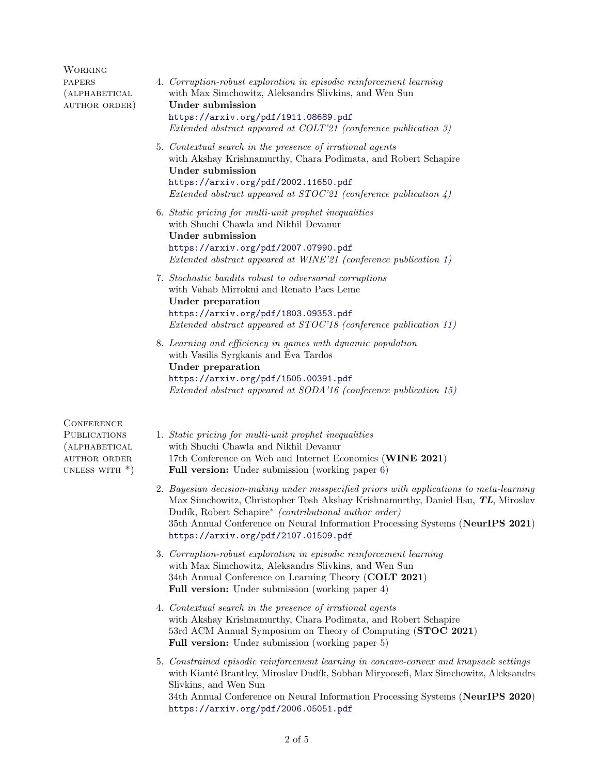<span id="page-1-7"></span><span id="page-1-6"></span><span id="page-1-5"></span><span id="page-1-4"></span><span id="page-1-3"></span>

| <b>WORKING</b>                                                                                       |                                                                                                                                                                                                                                                                                                                                                                |
|------------------------------------------------------------------------------------------------------|----------------------------------------------------------------------------------------------------------------------------------------------------------------------------------------------------------------------------------------------------------------------------------------------------------------------------------------------------------------|
| <b>PAPERS</b><br>(ALPHABETICAL<br>AUTHOR ORDER)                                                      | 4. Corruption-robust exploration in episodic reinforcement learning<br>with Max Simchowitz, Aleksandrs Slivkins, and Wen Sun<br>Under submission<br>https://arxiv.org/pdf/1911.08689.pdf<br>Extended abstract appeared at COLT'21 (conference publication 3)                                                                                                   |
|                                                                                                      | 5. Contextual search in the presence of irrational agents<br>with Akshay Krishnamurthy, Chara Podimata, and Robert Schapire<br>Under submission<br>https://arxiv.org/pdf/2002.11650.pdf<br>Extended abstract appeared at STOC'21 (conference publication $\downarrow$ )                                                                                        |
|                                                                                                      | 6. Static pricing for multi-unit prophet inequalities<br>with Shuchi Chawla and Nikhil Devanur<br><b>Under submission</b><br>https://arxiv.org/pdf/2007.07990.pdf<br>Extended abstract appeared at WINE'21 (conference publication 1)                                                                                                                          |
|                                                                                                      | 7. Stochastic bandits robust to adversarial corruptions<br>with Vahab Mirrokni and Renato Paes Leme<br>Under preparation<br>https://arxiv.org/pdf/1803.09353.pdf<br>Extended abstract appeared at STOC'18 (conference publication 11)                                                                                                                          |
|                                                                                                      | 8. Learning and efficiency in games with dynamic population<br>with Vasilis Syrgkanis and Éva Tardos<br><b>Under preparation</b><br>https://arxiv.org/pdf/1505.00391.pdf<br>Extended abstract appeared at SODA'16 (conference publication 15)                                                                                                                  |
| <b>CONFERENCE</b><br><b>PUBLICATIONS</b><br>(ALPHABETICAL<br><b>AUTHOR ORDER</b><br>UNLESS WITH $*)$ | 1. Static pricing for multi-unit prophet inequalities<br>with Shuchi Chawla and Nikhil Devanur<br>17th Conference on Web and Internet Economics (WINE 2021)<br><b>Full version:</b> Under submission (working paper 6)                                                                                                                                         |
|                                                                                                      | 2. Bayesian decision-making under misspecified priors with applications to meta-learning<br>Max Simchowitz, Christopher Tosh Akshay Krishnamurthy, Daniel Hsu, TL, Miroslav<br>Dudík, Robert Schapire* (contributional author order)<br>35th Annual Conference on Neural Information Processing Systems (NeurIPS 2021)<br>https://arxiv.org/pdf/2107.01509.pdf |
|                                                                                                      | 3. Corruption-robust exploration in episodic reinforcement learning<br>with Max Simchowitz, Aleksandrs Slivkins, and Wen Sun<br>34th Annual Conference on Learning Theory (COLT 2021)<br><b>Full version:</b> Under submission (working paper 4)                                                                                                               |
|                                                                                                      | 4. Contextual search in the presence of irrational agents<br>with Akshay Krishnamurthy, Chara Podimata, and Robert Schapire<br>53rd ACM Annual Symposium on Theory of Computing (STOC 2021)<br><b>Full version:</b> Under submission (working paper 5)                                                                                                         |
|                                                                                                      | 5. Constrained episodic reinforcement learning in concave-convex and knapsack settings<br>with Kianté Brantley, Miroslav Dudík, Sobhan Miryoosefi, Max Simchowitz, Aleksandrs<br>Slivkins, and Wen Sun                                                                                                                                                         |

<span id="page-1-2"></span><span id="page-1-1"></span><span id="page-1-0"></span>34th Annual Conference on Neural Information Processing Systems (NeurIPS 2020) <https://arxiv.org/pdf/2006.05051.pdf>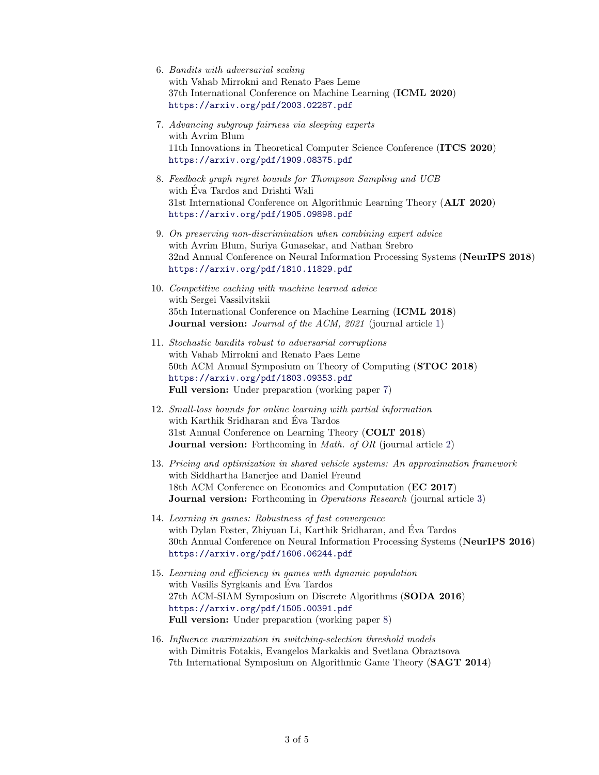- 6. Bandits with adversarial scaling with Vahab Mirrokni and Renato Paes Leme 37th International Conference on Machine Learning (ICML 2020) <https://arxiv.org/pdf/2003.02287.pdf>
- 7. Advancing subgroup fairness via sleeping experts with Avrim Blum 11th Innovations in Theoretical Computer Science Conference (ITCS 2020) <https://arxiv.org/pdf/1909.08375.pdf>
- 8. Feedback graph regret bounds for Thompson Sampling and UCB with Eva Tardos and Drishti Wali ´ 31st International Conference on Algorithmic Learning Theory (ALT 2020) <https://arxiv.org/pdf/1905.09898.pdf>
- 9. On preserving non-discrimination when combining expert advice with Avrim Blum, Suriya Gunasekar, and Nathan Srebro 32nd Annual Conference on Neural Information Processing Systems (NeurIPS 2018) <https://arxiv.org/pdf/1810.11829.pdf>
- <span id="page-2-0"></span>10. Competitive caching with machine learned advice with Sergei Vassilvitskii 35th International Conference on Machine Learning (ICML 2018) **Journal version:** *Journal of the ACM, 2021* (journal article [1\)](#page-0-0)
- <span id="page-2-3"></span>11. Stochastic bandits robust to adversarial corruptions with Vahab Mirrokni and Renato Paes Leme 50th ACM Annual Symposium on Theory of Computing (STOC 2018) <https://arxiv.org/pdf/1803.09353.pdf> Full version: Under preparation (working paper [7\)](#page-1-6)
- <span id="page-2-1"></span>12. Small-loss bounds for online learning with partial information with Karthik Sridharan and Eva Tardos ´ 31st Annual Conference on Learning Theory (COLT 2018) **Journal version:** Forthcoming in *Math. of OR* (journal article [2\)](#page-0-1)
- <span id="page-2-2"></span>13. Pricing and optimization in shared vehicle systems: An approximation framework with Siddhartha Baneriee and Daniel Freund 18th ACM Conference on Economics and Computation (EC 2017) Journal version: Forthcoming in *Operations Research* (journal article [3\)](#page-0-2)
- 14. Learning in games: Robustness of fast convergence with Dylan Foster, Zhiyuan Li, Karthik Sridharan, and Eva Tardos ´ 30th Annual Conference on Neural Information Processing Systems (NeurIPS 2016) <https://arxiv.org/pdf/1606.06244.pdf>
- <span id="page-2-4"></span>15. Learning and efficiency in games with dynamic population with Vasilis Syrgkanis and Eva Tardos ´ 27th ACM-SIAM Symposium on Discrete Algorithms (SODA 2016) <https://arxiv.org/pdf/1505.00391.pdf> Full version: Under preparation (working paper [8\)](#page-1-7)
- 16. Influence maximization in switching-selection threshold models with Dimitris Fotakis, Evangelos Markakis and Svetlana Obraztsova 7th International Symposium on Algorithmic Game Theory (SAGT 2014)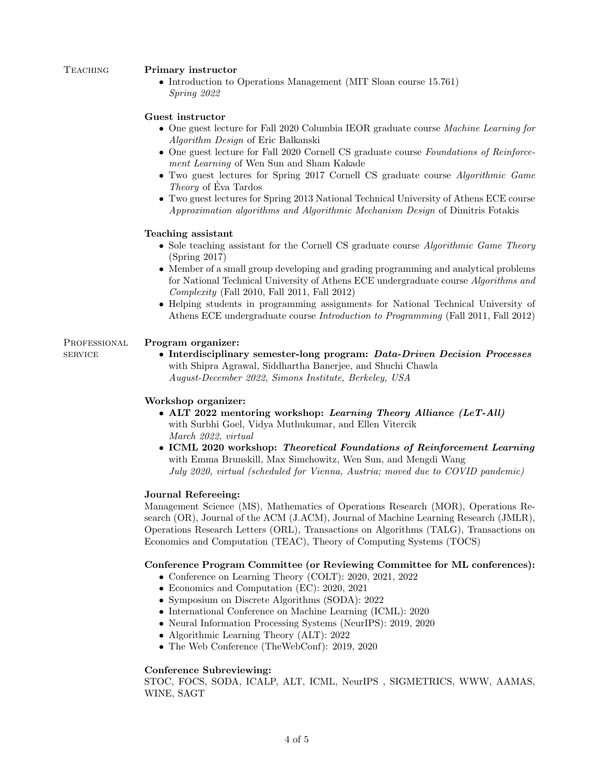## TEACHING Primary instructor

• Introduction to Operations Management (MIT Sloan course 15.761) Spring 2022

# Guest instructor

- One guest lecture for Fall 2020 Columbia IEOR graduate course Machine Learning for Algorithm Design of Eric Balkanski
- One guest lecture for Fall 2020 Cornell CS graduate course Foundations of Reinforcement Learning of Wen Sun and Sham Kakade
- Two guest lectures for Spring 2017 Cornell CS graduate course *Algorithmic Game* Theory of Eva Tardos ´
- Two guest lectures for Spring 2013 National Technical University of Athens ECE course Approximation algorithms and Algorithmic Mechanism Design of Dimitris Fotakis

## Teaching assistant

- Sole teaching assistant for the Cornell CS graduate course *Algorithmic Game Theory* (Spring 2017)
- Member of a small group developing and grading programming and analytical problems for National Technical University of Athens ECE undergraduate course Algorithms and Complexity (Fall 2010, Fall 2011, Fall 2012)
- Helping students in programming assignments for National Technical University of Athens ECE undergraduate course Introduction to Programming (Fall 2011, Fall 2012)

# PROFESSIONAL Program organizer:

service • Interdisciplinary semester-long program: Data-Driven Decision Processes with Shipra Agrawal, Siddhartha Banerjee, and Shuchi Chawla August-December 2022, Simons Institute, Berkeley, USA

# Workshop organizer:

- ALT 2022 mentoring workshop: Learning Theory Alliance (LeT-All) with Surbhi Goel, Vidya Muthukumar, and Ellen Vitercik March 2022, virtual
- ICML 2020 workshop: Theoretical Foundations of Reinforcement Learning with Emma Brunskill, Max Simchowitz, Wen Sun, and Mengdi Wang July 2020, virtual (scheduled for Vienna, Austria; moved due to COVID pandemic)

## Journal Refereeing:

Management Science (MS), Mathematics of Operations Research (MOR), Operations Research (OR), Journal of the ACM (J.ACM), Journal of Machine Learning Research (JMLR), Operations Research Letters (ORL), Transactions on Algorithms (TALG), Transactions on Economics and Computation (TEAC), Theory of Computing Systems (TOCS)

# Conference Program Committee (or Reviewing Committee for ML conferences):

- Conference on Learning Theory (COLT): 2020, 2021, 2022
- Economics and Computation (EC): 2020, 2021
- Symposium on Discrete Algorithms (SODA): 2022
- International Conference on Machine Learning (ICML): 2020
- Neural Information Processing Systems (NeurIPS): 2019, 2020
- Algorithmic Learning Theory (ALT): 2022
- The Web Conference (TheWebConf): 2019, 2020

## Conference Subreviewing:

STOC, FOCS, SODA, ICALP, ALT, ICML, NeurIPS , SIGMETRICS, WWW, AAMAS, WINE, SAGT